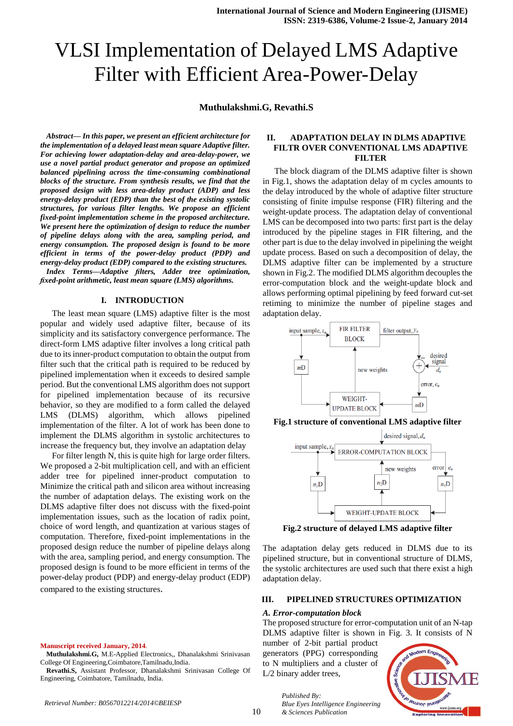# VLSI Implementation of Delayed LMS Adaptive Filter with Efficient Area-Power-Delay

**Muthulakshmi.G, Revathi.S**

*Abstract— In this paper, we present an efficient architecture for the implementation of a delayed least mean square Adaptive filter. For achieving lower adaptation-delay and area-delay-power, we use a novel partial product generator and propose an optimized balanced pipelining across the time-consuming combinational blocks of the structure. From synthesis results, we find that the proposed design with less area-delay product (ADP) and less energy-delay product (EDP) than the best of the existing systolic structures, for various filter lengths. We propose an efficient fixed-point implementation scheme in the proposed architecture. We present here the optimization of design to reduce the number of pipeline delays along with the area, sampling period, and energy consumption. The proposed design is found to be more efficient in terms of the power-delay product (PDP) and energy-delay product (EDP) compared to the existing structures. Index Terms—Adaptive filters, Adder tree optimization, fixed-point arithmetic, least mean square (LMS) algorithms.*

## **I. INTRODUCTION**

The least mean square (LMS) adaptive filter is the most popular and widely used adaptive filter, because of its simplicity and its satisfactory convergence performance. The direct-form LMS adaptive filter involves a long critical path due to its inner-product computation to obtain the output from filter such that the critical path is required to be reduced by pipelined implementation when it exceeds to desired sample period. But the conventional LMS algorithm does not support for pipelined implementation because of its recursive behavior, so they are modified to a form called the delayed LMS (DLMS) algorithm, which allows pipelined implementation of the filter. A lot of work has been done to implement the DLMS algorithm in systolic architectures to increase the frequency but, they involve an adaptation delay

For filter length N, this is quite high for large order filters. We proposed a 2-bit multiplication cell, and with an efficient adder tree for pipelined inner-product computation to Minimize the critical path and silicon area without increasing the number of adaptation delays. The existing work on the DLMS adaptive filter does not discuss with the fixed-point implementation issues, such as the location of radix point, choice of word length, and quantization at various stages of computation. Therefore, fixed-point implementations in the proposed design reduce the number of pipeline delays along with the area, sampling period, and energy consumption. The proposed design is found to be more efficient in terms of the power-delay product (PDP) and energy-delay product (EDP) compared to the existing structures.

#### **Manuscript received January, 2014**.

**Muthulakshmi.G,** M.E-Applied Electronics,, Dhanalakshmi Srinivasan College Of Engineering,Coimbatore,Tamilnadu,India.

## **II. ADAPTATION DELAY IN DLMS ADAPTIVE FILTR OVER CONVENTIONAL LMS ADAPTIVE FILTER**

The block diagram of the DLMS adaptive filter is shown in Fig.1, shows the adaptation delay of m cycles amounts to the delay introduced by the whole of adaptive filter structure consisting of finite impulse response (FIR) filtering and the weight-update process. The adaptation delay of conventional LMS can be decomposed into two parts: first part is the delay introduced by the pipeline stages in FIR filtering, and the other part is due to the delay involved in pipelining the weight update process. Based on such a decomposition of delay, the DLMS adaptive filter can be implemented by a structure shown in Fig.2. The modified DLMS algorithm decouples the error-computation block and the weight-update block and allows performing optimal pipelining by feed forward cut-set retiming to minimize the number of pipeline stages and adaptation delay.



**Fig.1 structure of conventional LMS adaptive filter**



**Fig.2 structure of delayed LMS adaptive filter**

The adaptation delay gets reduced in DLMS due to its pipelined structure, but in conventional structure of DLMS, the systolic architectures are used such that there exist a high adaptation delay.

## **III. PIPELINED STRUCTURES OPTIMIZATION**

## *A. Error-computation block*

The proposed structure for error-computation unit of an N-tap DLMS adaptive filter is shown in Fig. 3. It consists of N

number of 2-bit partial product generators (PPG) corresponding to N multipliers and a cluster of L/2 binary adder trees,



*Published By: Blue Eyes Intelligence Engineering & Sciences Publication* 

**Revathi.S,** Assistant Professor, Dhanalakshmi Srinivasan College Of Engineering, Coimbatore, Tamilnadu, India.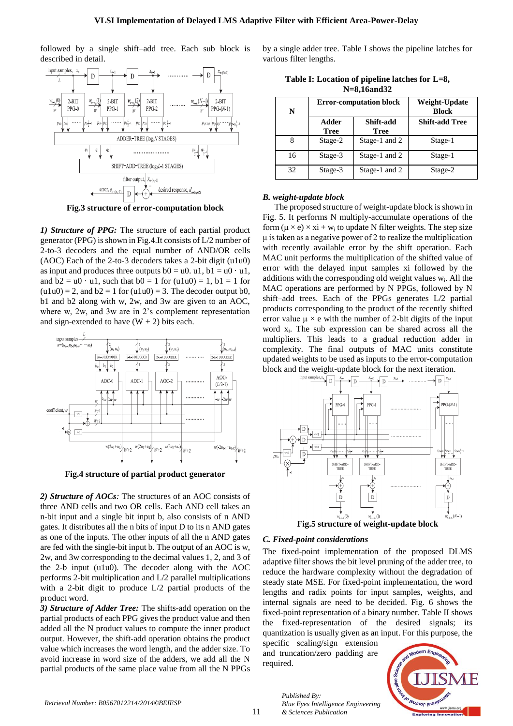followed by a single shift–add tree. Each sub block is described in detail.



**Fig.3 structure of error-computation block**

*1) Structure of PPG:* The structure of each partial product generator (PPG) is shown in Fig.4.It consists of L/2 number of 2-to-3 decoders and the equal number of AND/OR cells (AOC) Each of the 2-to-3 decoders takes a 2-bit digit (u1u0) as input and produces three outputs  $b0 = u0$ ,  $u1$ ,  $b1 = u0$  · u1. and  $b2 = u0 \cdot u1$ , such that  $b0 = 1$  for  $(u1u0) = 1$ ,  $b1 = 1$  for  $(u1u0) = 2$ , and  $b2 = 1$  for  $(u1u0) = 3$ . The decoder output b0, b1 and b2 along with w, 2w, and 3w are given to an AOC, where w, 2w, and 3w are in 2's complement representation and sign-extended to have  $(W + 2)$  bits each.



**Fig.4 structure of partial product generator**

*2) Structure of AOCs:* The structures of an AOC consists of three AND cells and two OR cells. Each AND cell takes an n-bit input and a single bit input b, also consists of n AND gates. It distributes all the n bits of input D to its n AND gates as one of the inputs. The other inputs of all the n AND gates are fed with the single-bit input b. The output of an AOC is w, 2w, and 3w corresponding to the decimal values 1, 2, and 3 of the 2-b input (u1u0). The decoder along with the AOC performs 2-bit multiplication and L/2 parallel multiplications with a 2-bit digit to produce L/2 partial products of the product word.

*3) Structure of Adder Tree:* The shifts-add operation on the partial products of each PPG gives the product value and then added all the N product values to compute the inner product output. However, the shift-add operation obtains the product value which increases the word length, and the adder size. To avoid increase in word size of the adders, we add all the N partial products of the same place value from all the N PPGs by a single adder tree. Table I shows the pipeline latches for various filter lengths.

| Table I: Location of pipeline latches for L=8, |  |
|------------------------------------------------|--|
| $N=8,16$ and $32$                              |  |

| N  |                      | <b>Error-computation block</b> | Weight-Update<br><b>Block</b><br><b>Shift-add Tree</b> |  |  |
|----|----------------------|--------------------------------|--------------------------------------------------------|--|--|
|    | Adder<br><b>Tree</b> | Shift-add<br><b>Tree</b>       |                                                        |  |  |
| 8  | Stage-2              | Stage-1 and 2                  | Stage-1                                                |  |  |
| 16 | Stage-3              | Stage-1 and 2                  | Stage-1                                                |  |  |
| 32 | Stage-3              | Stage-1 and 2                  | Stage-2                                                |  |  |

## *B. weight-update block*

The proposed structure of weight-update block is shown in Fig. 5. It performs N multiply-accumulate operations of the form  $(\mu \times e) \times x\mathbf{i} + w_i$  to update N filter weights. The step size  $\mu$  is taken as a negative power of 2 to realize the multiplication with recently available error by the shift operation. Each MAC unit performs the multiplication of the shifted value of error with the delayed input samples xi followed by the additions with the corresponding old weight values  $w_i$ . All the MAC operations are performed by N PPGs, followed by N shift–add trees. Each of the PPGs generates L/2 partial products corresponding to the product of the recently shifted error value  $\mu \times e$  with the number of 2-bit digits of the input word  $x_i$ . The sub expression can be shared across all the multipliers. This leads to a gradual reduction adder in complexity. The final outputs of MAC units constitute updated weights to be used as inputs to the error-computation block and the weight-update block for the next iteration.



**Fig.5 structure of weight-update block**

## *C. Fixed-point considerations*

The fixed-point implementation of the proposed DLMS adaptive filter shows the bit level pruning of the adder tree, to reduce the hardware complexity without the degradation of steady state MSE. For fixed-point implementation, the word lengths and radix points for input samples, weights, and internal signals are need to be decided. Fig. 6 shows the fixed-point representation of a binary number. Table II shows the fixed-representation of the desired signals; its quantization is usually given as an input. For this purpose, the

specific scaling/sign extension and truncation/zero padding are required.

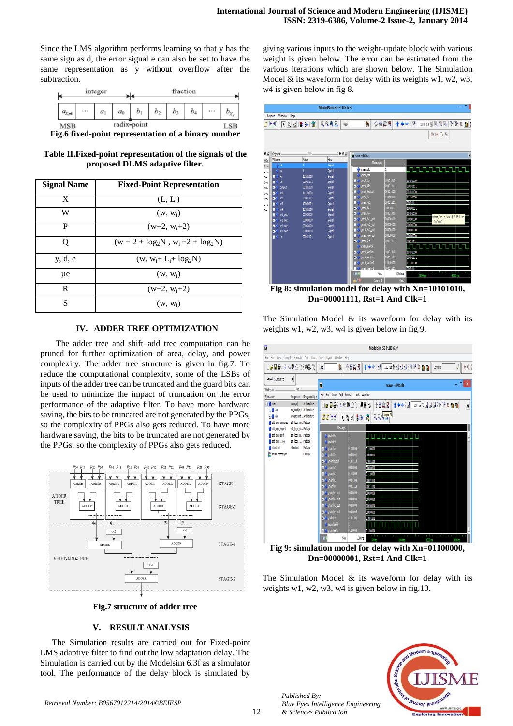Since the LMS algorithm performs learning so that y has the same sign as d, the error signal e can also be set to have the same representation as y without overflow after the subtraction.

| integer |                |          |       |                | fraction    |            |                |    |  |  |  |
|---------|----------------|----------|-------|----------------|-------------|------------|----------------|----|--|--|--|
|         | a <sub>r</sub> | $\cdots$ | $a_1$ | a <sub>0</sub> | D           | ٠<br>$b_2$ | D <sub>3</sub> | b4 |  |  |  |
|         | MSB            |          |       |                | radix-point |            |                |    |  |  |  |

**Fig.6 fixed-point representation of a binary number**

**Table II.Fixed-point representation of the signals of the proposed DLMS adaptive filter.**

| <b>Signal Name</b> | <b>Fixed-Point Representation</b> |  |  |  |
|--------------------|-----------------------------------|--|--|--|
| X                  | $(L, L_i)$                        |  |  |  |
| W                  | $(w, w_i)$                        |  |  |  |
| P                  | $(w+2, w+2)$                      |  |  |  |
| Ω                  | $(w + 2 + log2N, wi+2 + log2N)$   |  |  |  |
| y, d, e            | $(w, w_i + L_i + log_2N)$         |  |  |  |
| μe                 | $(w, w_i)$                        |  |  |  |
| R                  | $(w+2, w_i+2)$                    |  |  |  |
| S                  | $(w, w_i)$                        |  |  |  |

## **IV. ADDER TREE OPTIMIZATION**

The adder tree and shift–add tree computation can be pruned for further optimization of area, delay, and power complexity. The adder tree structure is given in fig.7. To reduce the computational complexity, some of the LSBs of inputs of the adder tree can be truncated and the guard bits can be used to minimize the impact of truncation on the error performance of the adaptive filter. To have more hardware saving, the bits to be truncated are not generated by the PPGs, so the complexity of PPGs also gets reduced. To have more hardware saving, the bits to be truncated are not generated by the PPGs, so the complexity of PPGs also gets reduced.



**Fig.7 structure of adder tree**

## **V. RESULT ANALYSIS**

The Simulation results are carried out for Fixed-point LMS adaptive filter to find out the low adaptation delay. The Simulation is carried out by the Modelsim 6.3f as a simulator tool. The performance of the delay block is simulated by giving various inputs to the weight-update block with various weight is given below. The error can be estimated from the various iterations which are shown below. The Simulation Model  $&$  its waveform for delay with its weights w1, w2, w3, w4 is given below in fig 8.



**Fig 8: simulation model for delay with Xn=10101010, Dn=00001111, Rst=1 And Clk=1**

The Simulation Model  $\&$  its waveform for delay with its weights w1, w2, w3, w4 is given below in fig 9.



**Fig 9: simulation model for delay with Xn=01100000, Dn=00000001, Rst=1 And Clk=1**

The Simulation Model  $\&$  its waveform for delay with its weights w1, w2, w3, w4 is given below in fig.10.



12